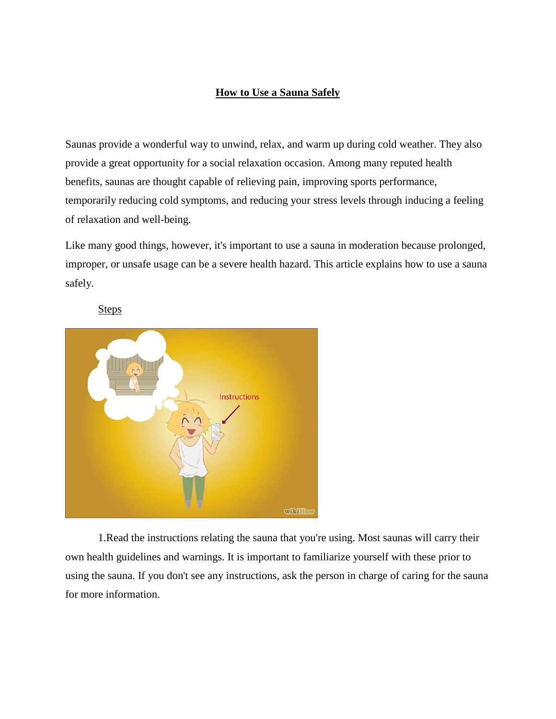## **How to Use a Sauna Safely**

Saunas provide a wonderful way to unwind, relax, and warm up during cold weather. They also provide a great opportunity for a social relaxation occasion. Among many reputed health benefits, saunas are thought capable of relieving pain, improving sports performance, temporarily reducing cold symptoms, and reducing your stress levels through inducing a feeling of relaxation and well-being.

Like many good things, however, it's important to use a sauna in moderation because prolonged, improper, or unsafe usage can be a severe health hazard. This article explains how to use a sauna safely.

## **Steps**



1.Read the instructions relating the sauna that you're using. Most saunas will carry their own health guidelines and warnings. It is important to familiarize yourself with these prior to using the sauna. If you don't see any instructions, ask the person in charge of caring for the sauna for more information.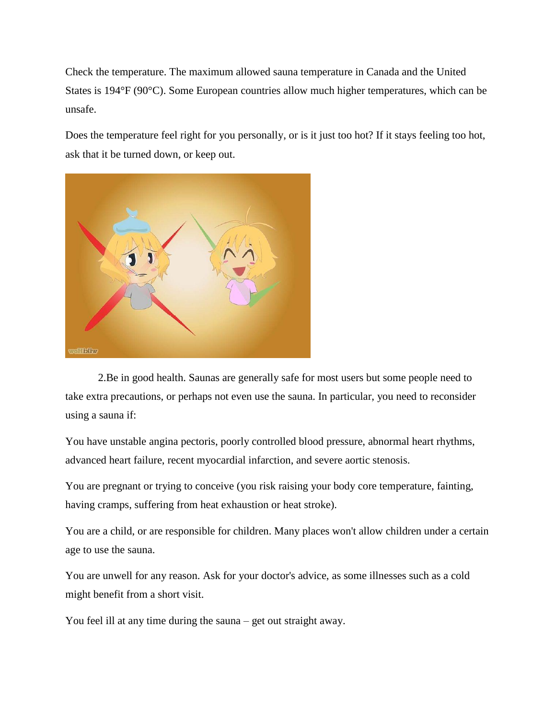Check the temperature. The maximum allowed sauna temperature in Canada and the United States is 194°F (90°C). Some European countries allow much higher temperatures, which can be unsafe.

Does the temperature feel right for you personally, or is it just too hot? If it stays feeling too hot, ask that it be turned down, or keep out.



2.Be in good health. Saunas are generally safe for most users but some people need to take extra precautions, or perhaps not even use the sauna. In particular, you need to reconsider using a sauna if:

You have unstable angina pectoris, poorly controlled blood pressure, abnormal heart rhythms, advanced heart failure, recent myocardial infarction, and severe aortic stenosis.

You are pregnant or trying to conceive (you risk raising your body core temperature, fainting, having cramps, suffering from heat exhaustion or heat stroke).

You are a child, or are responsible for children. Many places won't allow children under a certain age to use the sauna.

You are unwell for any reason. Ask for your doctor's advice, as some illnesses such as a cold might benefit from a short visit.

You feel ill at any time during the sauna – get out straight away.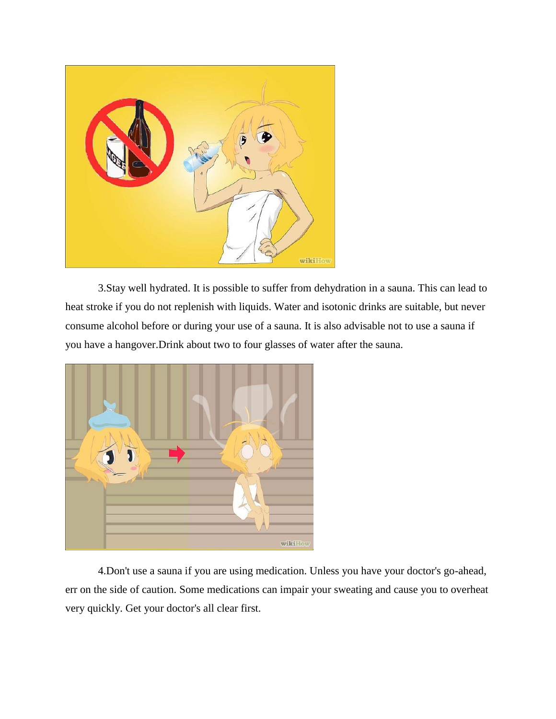

3.Stay well hydrated. It is possible to suffer from dehydration in a sauna. This can lead to heat stroke if you do not replenish with liquids. Water and isotonic drinks are suitable, but never consume alcohol before or during your use of a sauna. It is also advisable not to use a sauna if you have a hangover.Drink about two to four glasses of water after the sauna.



4.Don't use a sauna if you are using medication. Unless you have your doctor's go-ahead, err on the side of caution. Some medications can impair your sweating and cause you to overheat very quickly. Get your doctor's all clear first.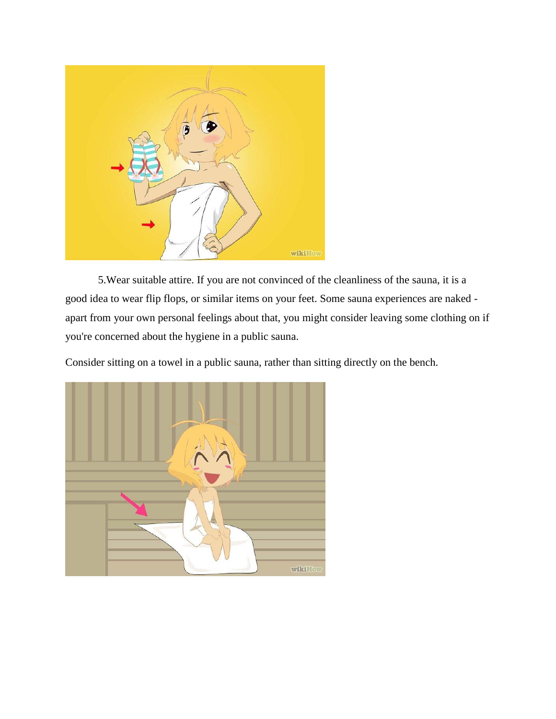

5.Wear suitable attire. If you are not convinced of the cleanliness of the sauna, it is a good idea to wear flip flops, or similar items on your feet. Some sauna experiences are naked apart from your own personal feelings about that, you might consider leaving some clothing on if you're concerned about the hygiene in a public sauna.

Consider sitting on a towel in a public sauna, rather than sitting directly on the bench.